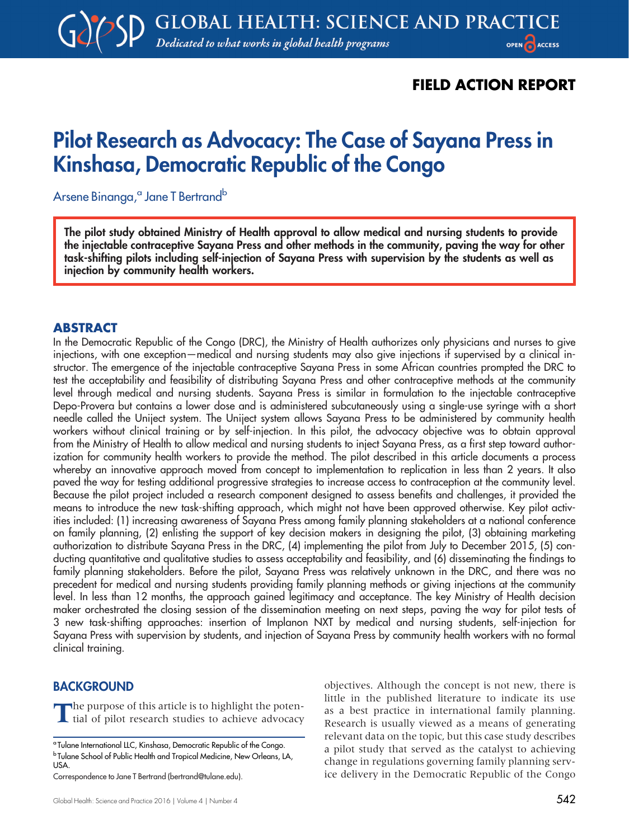## FIELD ACTION REPORT

# Pilot Research as Advocacy: The Case of Sayana Press in Kinshasa, Democratic Republic of the Congo

Arsene Binanga,<sup>a</sup> Jane T Bertrand<sup>b</sup>

The pilot study obtained Ministry of Health approval to allow medical and nursing students to provide the injectable contraceptive Sayana Press and other methods in the community, paving the way for other task-shifting pilots including self-injection of Sayana Press with supervision by the students as well as injection by community health workers.

## ABSTRACT

In the Democratic Republic of the Congo (DRC), the Ministry of Health authorizes only physicians and nurses to give injections, with one exception—medical and nursing students may also give injections if supervised by a clinical instructor. The emergence of the injectable contraceptive Sayana Press in some African countries prompted the DRC to test the acceptability and feasibility of distributing Sayana Press and other contraceptive methods at the community level through medical and nursing students. Sayana Press is similar in formulation to the injectable contraceptive Depo-Provera but contains a lower dose and is administered subcutaneously using a single-use syringe with a short needle called the Uniject system. The Uniject system allows Sayana Press to be administered by community health workers without clinical training or by self-injection. In this pilot, the advocacy objective was to obtain approval from the Ministry of Health to allow medical and nursing students to inject Sayana Press, as a first step toward authorization for community health workers to provide the method. The pilot described in this article documents a process whereby an innovative approach moved from concept to implementation to replication in less than 2 years. It also paved the way for testing additional progressive strategies to increase access to contraception at the community level. Because the pilot project included a research component designed to assess benefits and challenges, it provided the means to introduce the new task-shifting approach, which might not have been approved otherwise. Key pilot activities included: (1) increasing awareness of Sayana Press among family planning stakeholders at a national conference on family planning, (2) enlisting the support of key decision makers in designing the pilot, (3) obtaining marketing authorization to distribute Sayana Press in the DRC, (4) implementing the pilot from July to December 2015, (5) conducting quantitative and qualitative studies to assess acceptability and feasibility, and (6) disseminating the findings to family planning stakeholders. Before the pilot, Sayana Press was relatively unknown in the DRC, and there was no precedent for medical and nursing students providing family planning methods or giving injections at the community level. In less than 12 months, the approach gained legitimacy and acceptance. The key Ministry of Health decision maker orchestrated the closing session of the dissemination meeting on next steps, paving the way for pilot tests of 3 new task-shifting approaches: insertion of Implanon NXT by medical and nursing students, self-injection for Sayana Press with supervision by students, and injection of Sayana Press by community health workers with no formal clinical training.

## **BACKGROUND**

The purpose of this article is to highlight the potential of pilot research studies to achieve advocacy

objectives. Although the concept is not new, there is little in the published literature to indicate its use as a best practice in international family planning. Research is usually viewed as a means of generating relevant data on the topic, but this case study describes a pilot study that served as the catalyst to achieving change in regulations governing family planning service delivery in the Democratic Republic of the Congo

<sup>a</sup> Tulane International LLC, Kinshasa, Democratic Republic of the Congo. <sup>b</sup> Tulane School of Public Health and Tropical Medicine, New Orleans, LA, USA.

Correspondence to Jane T Bertrand [\(bertrand@tulane.edu\)](mailto:bertrand@tulane.edu).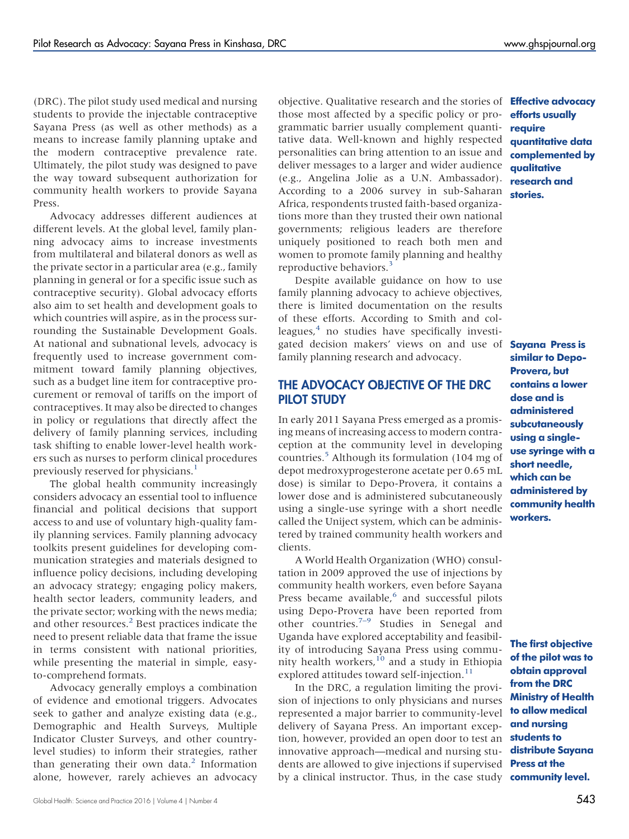(DRC). The pilot study used medical and nursing students to provide the injectable contraceptive Sayana Press (as well as other methods) as a means to increase family planning uptake and the modern contraceptive prevalence rate. Ultimately, the pilot study was designed to pave the way toward subsequent authorization for community health workers to provide Sayana Press.

Advocacy addresses different audiences at different levels. At the global level, family planning advocacy aims to increase investments from multilateral and bilateral donors as well as the private sector in a particular area (e.g., family planning in general or for a specific issue such as contraceptive security). Global advocacy efforts also aim to set health and development goals to which countries will aspire, as in the process surrounding the Sustainable Development Goals. At national and subnational levels, advocacy is frequently used to increase government commitment toward family planning objectives, such as a budget line item for contraceptive procurement or removal of tariffs on the import of contraceptives. It may also be directed to changes in policy or regulations that directly affect the delivery of family planning services, including task shifting to enable lower-level health workers such as nurses to perform clinical procedures previously reserved for physicians.<sup>[1](#page-8-0)</sup>

The global health community increasingly considers advocacy an essential tool to influence financial and political decisions that support access to and use of voluntary high-quality family planning services. Family planning advocacy toolkits present guidelines for developing communication strategies and materials designed to influence policy decisions, including developing an advocacy strategy; engaging policy makers, health sector leaders, community leaders, and the private sector; working with the news media; and other resources.<sup>2</sup> Best practices indicate the need to present reliable data that frame the issue in terms consistent with national priorities, while presenting the material in simple, easyto-comprehend formats.

Advocacy generally employs a combination of evidence and emotional triggers. Advocates seek to gather and analyze existing data (e.g., Demographic and Health Surveys, Multiple Indicator Cluster Surveys, and other countrylevel studies) to inform their strategies, rather than generating their own data.<sup>2</sup> Information alone, however, rarely achieves an advocacy

objective. Qualitative research and the stories of those most affected by a specific policy or programmatic barrier usually complement quantitative data. Well-known and highly respected personalities can bring attention to an issue and deliver messages to a larger and wider audience (e.g., Angelina Jolie as a U.N. Ambassador). According to a 2006 survey in sub-Saharan Africa, respondents trusted faith-based organizations more than they trusted their own national governments; religious leaders are therefore uniquely positioned to reach both men and women to promote family planning and healthy reproductive behaviors.

Despite available guidance on how to use family planning advocacy to achieve objectives, there is limited documentation on the results of these efforts. According to Smith and colleagues, $4$  no studies have specifically investigated decision makers' views on and use of family planning research and advocacy.

## THE ADVOCACY OBJECTIVE OF THE DRC PILOT STUDY

In early 2011 Sayana Press emerged as a promising means of increasing access to modern contraception at the community level in developing countries.[5](#page-8-4) Although its formulation (104 mg of depot medroxyprogesterone acetate per 0.65 mL dose) is similar to Depo-Provera, it contains a lower dose and is administered subcutaneously using a single-use syringe with a short needle called the Uniject system, which can be administered by trained community health workers and clients.

A World Health Organization (WHO) consultation in 2009 approved the use of injections by community health workers, even before Sayana Press became available,<sup>[6](#page-8-5)</sup> and successful pilots using Depo-Provera have been reported from other countries.[7](#page-8-6)[–](#page-8-7)[9](#page-8-8) Studies in Senegal and Uganda have explored acceptability and feasibility of introducing Sayana Press using community health workers, $10$  and a study in Ethiopia explored attitudes toward self-injection.<sup>[11](#page-8-10)</sup>

In the DRC, a regulation limiting the provision of injections to only physicians and nurses represented a major barrier to community-level delivery of Sayana Press. An important exception, however, provided an open door to test an innovative approach—medical and nursing students are allowed to give injections if supervised by a clinical instructor. Thus, in the case study **community level.** 

Effective advocacy efforts usually require quantitative data complemented by qualitative research and stories.

Sayana Press is similar to Depo-Provera, but contains a lower dose and is administered subcutaneously using a singleuse syringe with a short needle, which can be administered by community health workers.

The first objective of the pilot was to obtain approval from the DRC Ministry of Health to allow medical and nursing students to distribute Sayana Press at the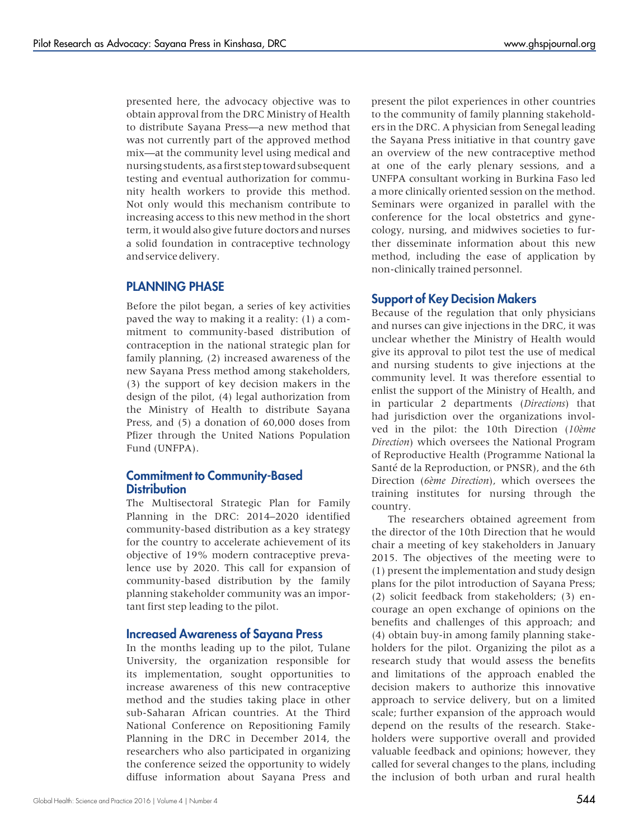presented here, the advocacy objective was to obtain approval from the DRC Ministry of Health to distribute Sayana Press—a new method that was not currently part of the approved method mix—at the community level using medical and nursing students, as a first step toward subsequent testing and eventual authorization for community health workers to provide this method. Not only would this mechanism contribute to increasing access to this new method in the short term, it would also give future doctors and nurses a solid foundation in contraceptive technology and service delivery.

## PLANNING PHASE

Before the pilot began, a series of key activities paved the way to making it a reality: (1) a commitment to community-based distribution of contraception in the national strategic plan for family planning, (2) increased awareness of the new Sayana Press method among stakeholders, (3) the support of key decision makers in the design of the pilot, (4) legal authorization from the Ministry of Health to distribute Sayana Press, and (5) a donation of 60,000 doses from Pfizer through the United Nations Population Fund (UNFPA).

#### Commitment to Community-Based **Distribution**

The Multisectoral Strategic Plan for Family Planning in the DRC: 2014–2020 identified community-based distribution as a key strategy for the country to accelerate achievement of its objective of 19% modern contraceptive prevalence use by 2020. This call for expansion of community-based distribution by the family planning stakeholder community was an important first step leading to the pilot.

#### Increased Awareness of Sayana Press

In the months leading up to the pilot, Tulane University, the organization responsible for its implementation, sought opportunities to increase awareness of this new contraceptive method and the studies taking place in other sub-Saharan African countries. At the Third National Conference on Repositioning Family Planning in the DRC in December 2014, the researchers who also participated in organizing the conference seized the opportunity to widely diffuse information about Sayana Press and

present the pilot experiences in other countries to the community of family planning stakeholders in the DRC. A physician from Senegal leading the Sayana Press initiative in that country gave an overview of the new contraceptive method at one of the early plenary sessions, and a UNFPA consultant working in Burkina Faso led a more clinically oriented session on the method. Seminars were organized in parallel with the conference for the local obstetrics and gynecology, nursing, and midwives societies to further disseminate information about this new method, including the ease of application by non-clinically trained personnel.

#### Support of Key Decision Makers

Because of the regulation that only physicians and nurses can give injections in the DRC, it was unclear whether the Ministry of Health would give its approval to pilot test the use of medical and nursing students to give injections at the community level. It was therefore essential to enlist the support of the Ministry of Health, and in particular 2 departments (Directions) that had jurisdiction over the organizations involved in the pilot: the 10th Direction (10ème Direction) which oversees the National Program of Reproductive Health (Programme National la Santé de la Reproduction, or PNSR), and the 6th Direction (6ème Direction), which oversees the training institutes for nursing through the country.

The researchers obtained agreement from the director of the 10th Direction that he would chair a meeting of key stakeholders in January 2015. The objectives of the meeting were to (1) present the implementation and study design plans for the pilot introduction of Sayana Press; (2) solicit feedback from stakeholders; (3) encourage an open exchange of opinions on the benefits and challenges of this approach; and (4) obtain buy-in among family planning stakeholders for the pilot. Organizing the pilot as a research study that would assess the benefits and limitations of the approach enabled the decision makers to authorize this innovative approach to service delivery, but on a limited scale; further expansion of the approach would depend on the results of the research. Stakeholders were supportive overall and provided valuable feedback and opinions; however, they called for several changes to the plans, including the inclusion of both urban and rural health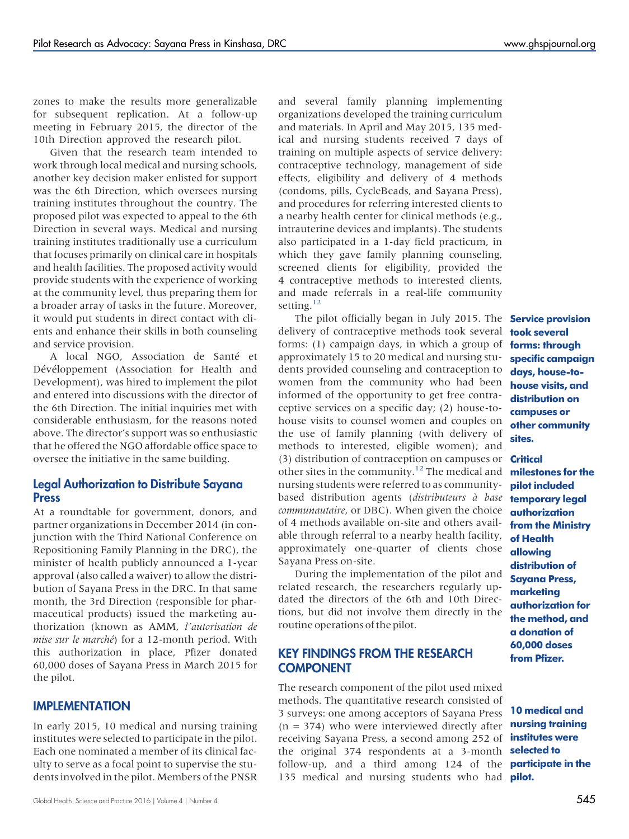zones to make the results more generalizable for subsequent replication. At a follow-up meeting in February 2015, the director of the 10th Direction approved the research pilot.

Given that the research team intended to work through local medical and nursing schools, another key decision maker enlisted for support was the 6th Direction, which oversees nursing training institutes throughout the country. The proposed pilot was expected to appeal to the 6th Direction in several ways. Medical and nursing training institutes traditionally use a curriculum that focuses primarily on clinical care in hospitals and health facilities. The proposed activity would provide students with the experience of working at the community level, thus preparing them for a broader array of tasks in the future. Moreover, it would put students in direct contact with clients and enhance their skills in both counseling and service provision.

A local NGO, Association de Santé et Dévéloppement (Association for Health and Development), was hired to implement the pilot and entered into discussions with the director of the 6th Direction. The initial inquiries met with considerable enthusiasm, for the reasons noted above. The director's support was so enthusiastic that he offered the NGO affordable office space to oversee the initiative in the same building.

## Legal Authorization to Distribute Sayana Press

At a roundtable for government, donors, and partner organizations in December 2014 (in conjunction with the Third National Conference on Repositioning Family Planning in the DRC), the minister of health publicly announced a 1-year approval (also called a waiver) to allow the distribution of Sayana Press in the DRC. In that same month, the 3rd Direction (responsible for pharmaceutical products) issued the marketing authorization (known as AMM, l'autorisation de mise sur le marché) for a 12-month period. With this authorization in place, Pfizer donated 60,000 doses of Sayana Press in March 2015 for the pilot.

## IMPLEMENTATION

In early 2015, 10 medical and nursing training institutes were selected to participate in the pilot. Each one nominated a member of its clinical faculty to serve as a focal point to supervise the students involved in the pilot. Members of the PNSR

and several family planning implementing organizations developed the training curriculum and materials. In April and May 2015, 135 medical and nursing students received 7 days of training on multiple aspects of service delivery: contraceptive technology, management of side effects, eligibility and delivery of 4 methods (condoms, pills, CycleBeads, and Sayana Press), and procedures for referring interested clients to a nearby health center for clinical methods (e.g., intrauterine devices and implants). The students also participated in a 1-day field practicum, in which they gave family planning counseling, screened clients for eligibility, provided the 4 contraceptive methods to interested clients, and made referrals in a real-life community setting.<sup>[12](#page-9-0)</sup>

The pilot officially began in July 2015. The delivery of contraceptive methods took several forms: (1) campaign days, in which a group of approximately 15 to 20 medical and nursing students provided counseling and contraception to women from the community who had been informed of the opportunity to get free contraceptive services on a specific day; (2) house-tohouse visits to counsel women and couples on the use of family planning (with delivery of methods to interested, eligible women); and (3) distribution of contraception on campuses or other sites in the community.<sup>[12](#page-9-0)</sup> The medical and nursing students were referred to as communitybased distribution agents (distributeurs à base communautaire, or DBC). When given the choice of 4 methods available on-site and others available through referral to a nearby health facility, approximately one-quarter of clients chose Sayana Press on-site.

During the implementation of the pilot and related research, the researchers regularly updated the directors of the 6th and 10th Directions, but did not involve them directly in the routine operations of the pilot.

## KEY FINDINGS FROM THE RESEARCH **COMPONENT**

The research component of the pilot used mixed methods. The quantitative research consisted of 3 surveys: one among acceptors of Sayana Press  $(n = 374)$  who were interviewed directly after receiving Sayana Press, a second among 252 of the original 374 respondents at a 3-month follow-up, and a third among 124 of the 135 medical and nursing students who had

Service provision took several forms: through specific campaign days, house-tohouse visits, and distribution on campuses or other community sites.

#### **Critical**

milestones for the pilot included temporary legal authorization from the Ministry of Health allowing distribution of Sayana Press, marketing authorization for the method, and a donation of 60,000 doses from Pfizer.

10 medical and nursing training institutes were selected to participate in the pilot.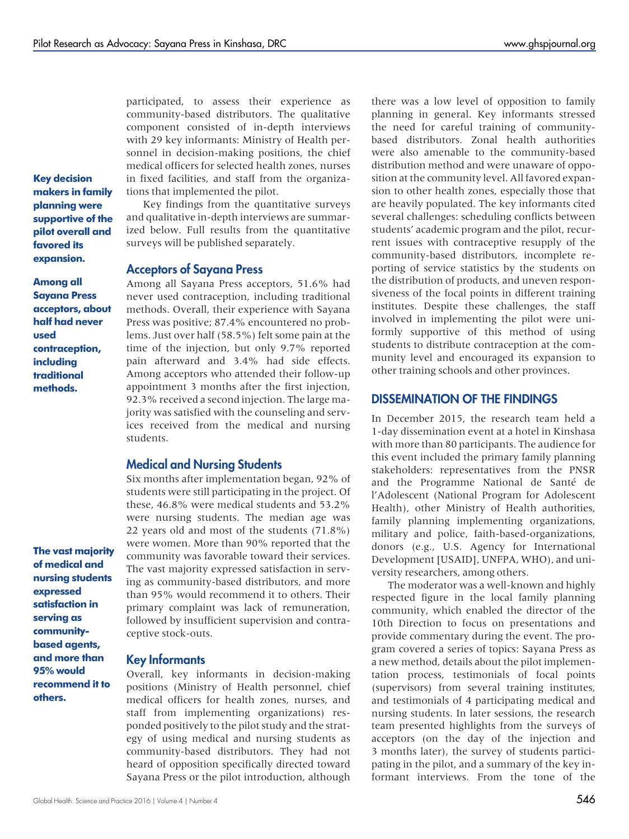participated, to assess their experience as community-based distributors. The qualitative component consisted of in-depth interviews with 29 key informants: Ministry of Health personnel in decision-making positions, the chief medical officers for selected health zones, nurses in fixed facilities, and staff from the organiza-

Key decision makers in family planning were supportive of the pilot overall and favored its expansion.

Among all Sayana Press acceptors, about half had never used contraception, including traditional methods.

The vast majority of medical and nursing students expressed satisfaction in serving as communitybased agents, and more than 95% would recommend it to others.

tions that implemented the pilot. Key findings from the quantitative surveys

and qualitative in-depth interviews are summarized below. Full results from the quantitative surveys will be published separately.

#### Acceptors of Sayana Press

Among all Sayana Press acceptors, 51.6% had never used contraception, including traditional methods. Overall, their experience with Sayana Press was positive; 87.4% encountered no problems. Just over half (58.5%) felt some pain at the time of the injection, but only 9.7% reported pain afterward and 3.4% had side effects. Among acceptors who attended their follow-up appointment 3 months after the first injection, 92.3% received a second injection. The large majority was satisfied with the counseling and services received from the medical and nursing students.

## Medical and Nursing Students

Six months after implementation began, 92% of students were still participating in the project. Of these, 46.8% were medical students and 53.2% were nursing students. The median age was 22 years old and most of the students (71.8%) were women. More than 90% reported that the community was favorable toward their services. The vast majority expressed satisfaction in serving as community-based distributors, and more than 95% would recommend it to others. Their primary complaint was lack of remuneration, followed by insufficient supervision and contraceptive stock-outs.

#### Key Informants

Overall, key informants in decision-making positions (Ministry of Health personnel, chief medical officers for health zones, nurses, and staff from implementing organizations) responded positively to the pilot study and the strategy of using medical and nursing students as community-based distributors. They had not heard of opposition specifically directed toward Sayana Press or the pilot introduction, although

there was a low level of opposition to family planning in general. Key informants stressed the need for careful training of communitybased distributors. Zonal health authorities were also amenable to the community-based distribution method and were unaware of opposition at the community level. All favored expansion to other health zones, especially those that are heavily populated. The key informants cited several challenges: scheduling conflicts between students' academic program and the pilot, recurrent issues with contraceptive resupply of the community-based distributors, incomplete reporting of service statistics by the students on the distribution of products, and uneven responsiveness of the focal points in different training institutes. Despite these challenges, the staff involved in implementing the pilot were uniformly supportive of this method of using students to distribute contraception at the community level and encouraged its expansion to other training schools and other provinces.

## DISSEMINATION OF THE FINDINGS

In December 2015, the research team held a 1-day dissemination event at a hotel in Kinshasa with more than 80 participants. The audience for this event included the primary family planning stakeholders: representatives from the PNSR and the Programme National de Santé de l'Adolescent (National Program for Adolescent Health), other Ministry of Health authorities, family planning implementing organizations, military and police, faith-based-organizations, donors (e.g., U.S. Agency for International Development [USAID], UNFPA, WHO), and university researchers, among others.

The moderator was a well-known and highly respected figure in the local family planning community, which enabled the director of the 10th Direction to focus on presentations and provide commentary during the event. The program covered a series of topics: Sayana Press as a new method, details about the pilot implementation process, testimonials of focal points (supervisors) from several training institutes, and testimonials of 4 participating medical and nursing students. In later sessions, the research team presented highlights from the surveys of acceptors (on the day of the injection and 3 months later), the survey of students participating in the pilot, and a summary of the key informant interviews. From the tone of the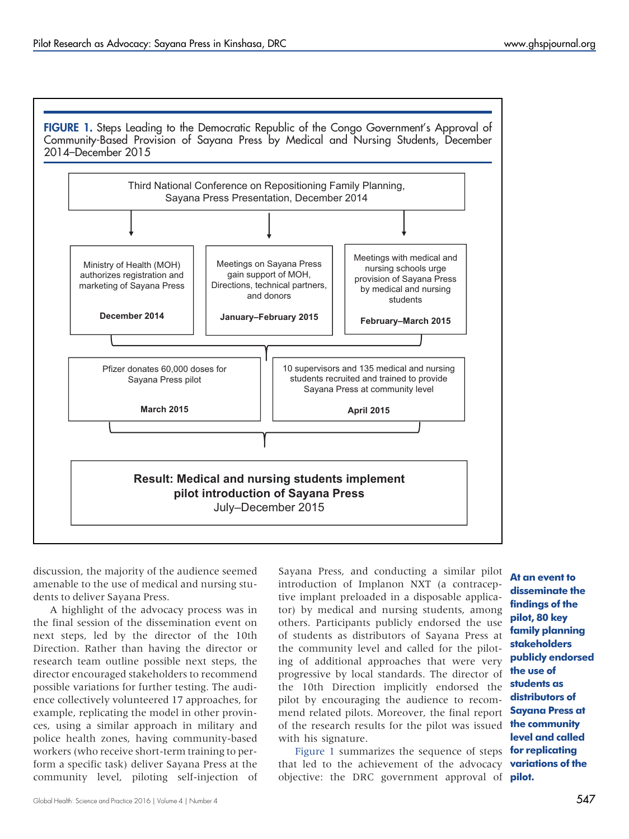

discussion, the majority of the audience seemed amenable to the use of medical and nursing students to deliver Sayana Press.

A highlight of the advocacy process was in the final session of the dissemination event on next steps, led by the director of the 10th Direction. Rather than having the director or research team outline possible next steps, the director encouraged stakeholders to recommend possible variations for further testing. The audience collectively volunteered 17 approaches, for example, replicating the model in other provinces, using a similar approach in military and police health zones, having community-based workers (who receive short-term training to perform a specific task) deliver Sayana Press at the community level, piloting self-injection of

Sayana Press, and conducting a similar pilot introduction of Implanon NXT (a contraceptive implant preloaded in a disposable applicator) by medical and nursing students, among others. Participants publicly endorsed the use of students as distributors of Sayana Press at the community level and called for the piloting of additional approaches that were very progressive by local standards. The director of the 10th Direction implicitly endorsed the pilot by encouraging the audience to recommend related pilots. Moreover, the final report of the research results for the pilot was issued with his signature.

Figure 1 summarizes the sequence of steps **for replicating** that led to the achievement of the advocacy **variations of the** objective: the DRC government approval of **pilot.** 

At an event to disseminate the findings of the pilot, 80 key family planning stakeholders publicly endorsed the use of students as distributors of Sayana Press at the community level and called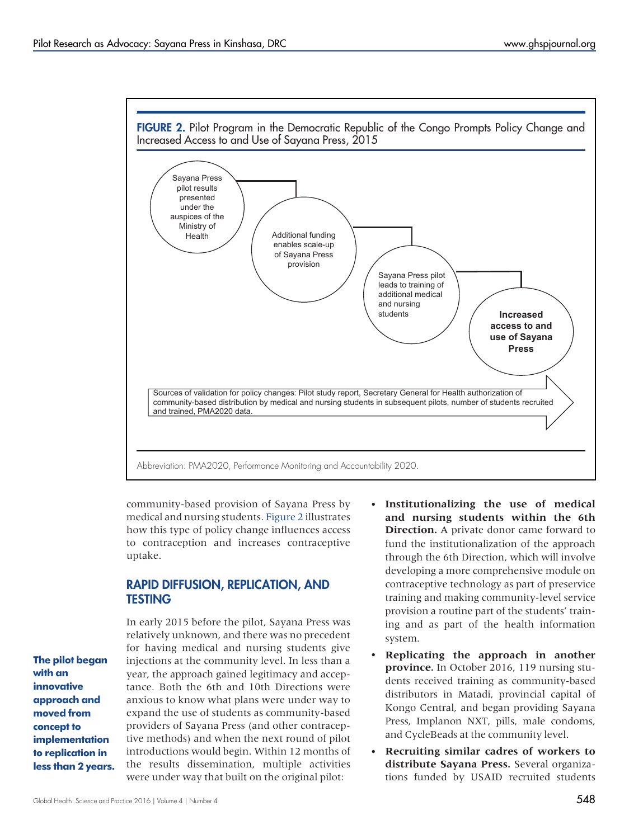<span id="page-6-0"></span>

community-based provision of Sayana Press by medical and nursing students. Figure 2 illustrates how this type of policy change influences access to contraception and increases contraceptive uptake.

## RAPID DIFFUSION, REPLICATION, AND TESTING

In early 2015 before the pilot, Sayana Press was relatively unknown, and there was no precedent for having medical and nursing students give injections at the community level. In less than a year, the approach gained legitimacy and acceptance. Both the 6th and 10th Directions were anxious to know what plans were under way to expand the use of students as community-based providers of Sayana Press (and other contraceptive methods) and when the next round of pilot introductions would begin. Within 12 months of the results dissemination, multiple activities were under way that built on the original pilot:

- Institutionalizing the use of medical and nursing students within the 6th **Direction.** A private donor came forward to fund the institutionalization of the approach through the 6th Direction, which will involve developing a more comprehensive module on contraceptive technology as part of preservice training and making community-level service provision a routine part of the students' training and as part of the health information system.
- Replicating the approach in another **province.** In October 2016, 119 nursing students received training as community-based distributors in Matadi, provincial capital of Kongo Central, and began providing Sayana Press, Implanon NXT, pills, male condoms, and CycleBeads at the community level.
- Recruiting similar cadres of workers to distribute Sayana Press. Several organizations funded by USAID recruited students

The pilot began with an innovative approach and moved from concept to implementation to replication in less than 2 years.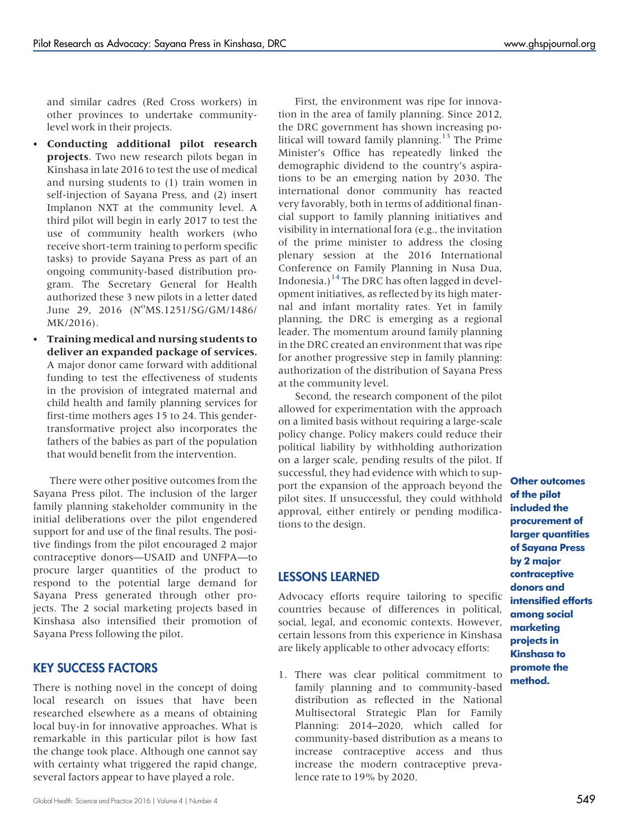and similar cadres (Red Cross workers) in other provinces to undertake communitylevel work in their projects.

- Conducting additional pilot research projects. Two new research pilots began in Kinshasa in late 2016 to test the use of medical and nursing students to (1) train women in self-injection of Sayana Press, and (2) insert Implanon NXT at the community level. A third pilot will begin in early 2017 to test the use of community health workers (who receive short-term training to perform specific tasks) to provide Sayana Press as part of an ongoing community-based distribution program. The Secretary General for Health authorized these 3 new pilots in a letter dated June 29, 2016 (N°MS.1251/SG/GM/1486/ MK/2016).
- Training medical and nursing students to deliver an expanded package of services. A major donor came forward with additional funding to test the effectiveness of students in the provision of integrated maternal and child health and family planning services for first-time mothers ages 15 to 24. This gendertransformative project also incorporates the fathers of the babies as part of the population that would benefit from the intervention.

There were other positive outcomes from the Sayana Press pilot. The inclusion of the larger family planning stakeholder community in the initial deliberations over the pilot engendered support for and use of the final results. The positive findings from the pilot encouraged 2 major contraceptive donors—USAID and UNFPA—to procure larger quantities of the product to respond to the potential large demand for Sayana Press generated through other projects. The 2 social marketing projects based in Kinshasa also intensified their promotion of Sayana Press following the pilot.

## KEY SUCCESS FACTORS

There is nothing novel in the concept of doing local research on issues that have been researched elsewhere as a means of obtaining local buy-in for innovative approaches. What is remarkable in this particular pilot is how fast the change took place. Although one cannot say with certainty what triggered the rapid change, several factors appear to have played a role.

First, the environment was ripe for innovation in the area of family planning. Since 2012, the DRC government has shown increasing po-litical will toward family planning.<sup>[13](#page-9-1)</sup> The Prime Minister's Office has repeatedly linked the demographic dividend to the country's aspirations to be an emerging nation by 2030. The international donor community has reacted very favorably, both in terms of additional financial support to family planning initiatives and visibility in international fora (e.g., the invitation of the prime minister to address the closing plenary session at the 2016 International Conference on Family Planning in Nusa Dua, Indonesia.)<sup>[14](#page-9-2)</sup> The DRC has often lagged in development initiatives, as reflected by its high maternal and infant mortality rates. Yet in family planning, the DRC is emerging as a regional leader. The momentum around family planning in the DRC created an environment that was ripe for another progressive step in family planning: authorization of the distribution of Sayana Press at the community level.

Second, the research component of the pilot allowed for experimentation with the approach on a limited basis without requiring a large-scale policy change. Policy makers could reduce their political liability by withholding authorization on a larger scale, pending results of the pilot. If successful, they had evidence with which to support the expansion of the approach beyond the pilot sites. If unsuccessful, they could withhold approval, either entirely or pending modifications to the design.

## LESSONS LEARNED

Advocacy efforts require tailoring to specific countries because of differences in political, social, legal, and economic contexts. However, certain lessons from this experience in Kinshasa are likely applicable to other advocacy efforts:

1. There was clear political commitment to family planning and to community-based distribution as reflected in the National Multisectoral Strategic Plan for Family Planning: 2014–2020, which called for community-based distribution as a means to increase contraceptive access and thus increase the modern contraceptive prevalence rate to 19% by 2020.

Other outcomes of the pilot included the procurement of larger quantities of Sayana Press by 2 major contraceptive donors and intensified efforts among social marketing projects in Kinshasa to promote the method.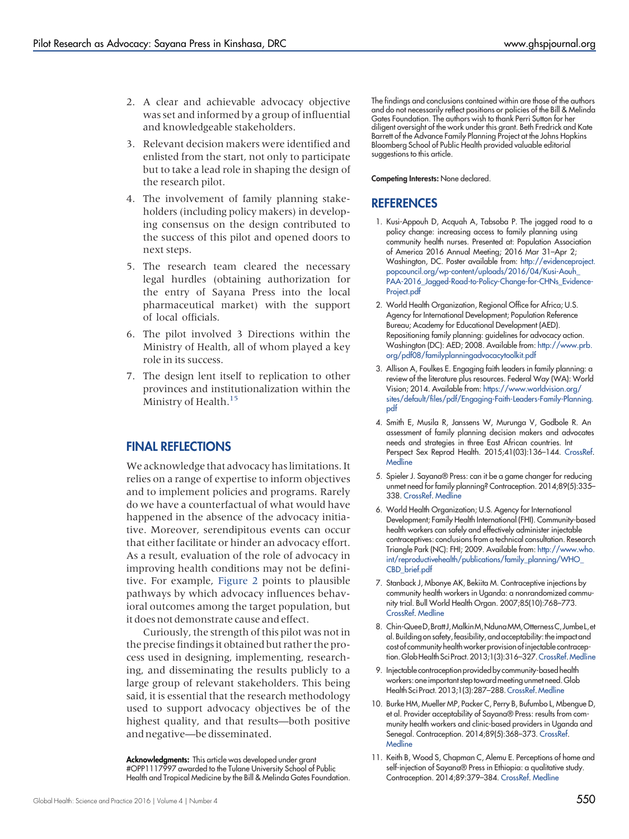- 2. A clear and achievable advocacy objective was set and informed by a group of influential and knowledgeable stakeholders.
- 3. Relevant decision makers were identified and enlisted from the start, not only to participate but to take a lead role in shaping the design of the research pilot.
- 4. The involvement of family planning stakeholders (including policy makers) in developing consensus on the design contributed to the success of this pilot and opened doors to next steps.
- 5. The research team cleared the necessary legal hurdles (obtaining authorization for the entry of Sayana Press into the local pharmaceutical market) with the support of local officials.
- 6. The pilot involved 3 Directions within the Ministry of Health, all of whom played a key role in its success.
- 7. The design lent itself to replication to other provinces and institutionalization within the Ministry of Health.<sup>15</sup>

## FINAL REFLECTIONS

We acknowledge that advocacy has limitations. It relies on a range of expertise to inform objectives and to implement policies and programs. Rarely do we have a counterfactual of what would have happened in the absence of the advocacy initiative. Moreover, serendipitous events can occur that either facilitate or hinder an advocacy effort. As a result, evaluation of the role of advocacy in improving health conditions may not be definitive. For example, [Figure 2](#page-6-0) points to plausible pathways by which advocacy influences behavioral outcomes among the target population, but it does not demonstrate cause and effect.

Curiously, the strength of this pilot was not in the precise findings it obtained but rather the process used in designing, implementing, researching, and disseminating the results publicly to a large group of relevant stakeholders. This being said, it is essential that the research methodology used to support advocacy objectives be of the highest quality, and that results—both positive and negative—be disseminated.

Acknowledgments: This article was developed under grant #OPP1117997 awarded to the Tulane University School of Public Health and Tropical Medicine by the Bill & Melinda Gates Foundation. The findings and conclusions contained within are those of the authors and do not necessarily reflect positions or policies of the Bill & Melinda Gates Foundation. The authors wish to thank Perri Sutton for her diligent oversight of the work under this grant. Beth Fredrick and Kate Barrett of the Advance Family Planning Project at the Johns Hopkins Bloomberg School of Public Health provided valuable editorial suggestions to this article.

Competing Interests: None declared.

#### **REFERENCES**

- <span id="page-8-0"></span>1. Kusi-Appouh D, Acquah A, Tabsoba P. The jagged road to a policy change: increasing access to family planning using community health nurses. Presented at: Population Association of America 2016 Annual Meeting; 2016 Mar 31–Apr 2; Washington, DC. Poster available from: [http://evidenceproject.](http://evidenceproject.popcouncil.org/wp-content/uploads/2016/04/Kusi-Aouh_PAA-2016_Jagged-Road-to-Policy-Change-for-CHNs_Evidence-Project.pdf) [popcouncil.org/wp-content/uploads/2016/04/Kusi-Aouh\\_](http://evidenceproject.popcouncil.org/wp-content/uploads/2016/04/Kusi-Aouh_PAA-2016_Jagged-Road-to-Policy-Change-for-CHNs_Evidence-Project.pdf) [PAA-2016\\_Jagged-Road-to-Policy-Change-for-CHNs\\_Evidence-](http://evidenceproject.popcouncil.org/wp-content/uploads/2016/04/Kusi-Aouh_PAA-2016_Jagged-Road-to-Policy-Change-for-CHNs_Evidence-Project.pdf)[Project.pdf](http://evidenceproject.popcouncil.org/wp-content/uploads/2016/04/Kusi-Aouh_PAA-2016_Jagged-Road-to-Policy-Change-for-CHNs_Evidence-Project.pdf)
- <span id="page-8-1"></span>2. World Health Organization, Regional Office for Africa; U.S. Agency for International Development; Population Reference Bureau; Academy for Educational Development (AED). Repositioning family planning: guidelines for advocacy action. Washington (DC): AED; 2008. Available from: [http://www.prb.](http://www.prb.org/pdf08/familyplanningadvocacytoolkit.pdf) [org/pdf08/familyplanningadvocacytoolkit.pdf](http://www.prb.org/pdf08/familyplanningadvocacytoolkit.pdf)
- <span id="page-8-2"></span>3. Allison A, Foulkes E. Engaging faith leaders in family planning: a review of the literature plus resources. Federal Way (WA): World Vision; 2014. Available from: [https://www.worldvision.org/](http://www.worldvision.org/sites/default/files/pdf/Engaging-Faith-Leaders-Family-Planning.pdf) [sites/default/files/pdf/Engaging-Faith-Leaders-Family-Planning.](http://www.worldvision.org/sites/default/files/pdf/Engaging-Faith-Leaders-Family-Planning.pdf) [pdf](http://www.worldvision.org/sites/default/files/pdf/Engaging-Faith-Leaders-Family-Planning.pdf)
- <span id="page-8-3"></span>4. Smith E, Musila R, Janssens W, Murunga V, Godbole R. An assessment of family planning decision makers and advocates needs and strategies in three East African countries. Int Perspect Sex Reprod Health. 2015;41(03):136–144. [CrossRef](http://dx.doi.org/10.1363/4113615). **[Medline](http://www.ncbi.nlm.nih.gov/pubmed/26600567)**
- <span id="page-8-4"></span>5. Spieler J. Sayana® Press: can it be a game changer for reducing unmet need for family planning? Contraception. 2014;89(5):335– 338. [CrossRef](http://dx.doi.org/10.1016/j.contraception.2014.02.010). [Medline](http://www.ncbi.nlm.nih.gov/pubmed/24703826)
- <span id="page-8-5"></span>6. World Health Organization; U.S. Agency for International Development; Family Health International (FHI). Community-based health workers can safely and effectively administer injectable contraceptives: conclusions from a technical consultation. Research Triangle Park (NC): FHI; 2009. Available from: [http://www.who.](http://www.who.int/reproductivehealth/publications/family_planning/WHO_CBD_brief.pdf) [int/reproductivehealth/publications/family\\_planning/WHO\\_](http://www.who.int/reproductivehealth/publications/family_planning/WHO_CBD_brief.pdf) [CBD\\_brief.pdf](http://www.who.int/reproductivehealth/publications/family_planning/WHO_CBD_brief.pdf)
- <span id="page-8-6"></span>7. Stanback J, Mbonye AK, Bekiita M. Contraceptive injections by community health workers in Uganda: a nonrandomized community trial. Bull World Health Organ. 2007;85(10):768–773. [CrossRef](http://dx.doi.org/10.2471/BLT.07.040162). [Medline](http://www.ncbi.nlm.nih.gov/pubmed/18038058)
- <span id="page-8-7"></span>8. Chin-QueeD, Bratt J, Malkin M, Nduna MM, Otterness C, Jumbe L, et al. Building on safety,feasibility, and acceptability: the impact and cost of community health worker provision of injectable contraception.GlobHealth SciPract. 2013;1(3):316–327.[CrossRef.](http://dx.doi.org/10.9745/GHSP-D-13-00025)[Medline](http://www.ncbi.nlm.nih.gov/pubmed/25276547)
- <span id="page-8-8"></span>9. Injectable contraception provided by community-based health workers: one important step toward meeting unmet need. Glob Health Sci Pract. 2013;1(3):287–288.[CrossRef](http://dx.doi.org/10.9745/GHSP-D-13-00152).[Medline](http://www.ncbi.nlm.nih.gov/pubmed/25276541)
- <span id="page-8-9"></span>10. Burke HM, Mueller MP, Packer C, Perry B, Bufumbo L, Mbengue D, et al. Provider acceptability of Sayana® Press: results from community health workers and clinic-based providers in Uganda and Senegal. Contraception. 2014;89(5):368–373. [CrossRef.](http://dx.doi.org/10.1016/j.contraception.2014.01.009) [Medline](http://www.ncbi.nlm.nih.gov/pubmed/24576792)
- <span id="page-8-10"></span>11. Keith B, Wood S, Chapman C, Alemu E. Perceptions of home and self-injection of Sayana® Press in Ethiopia: a qualitative study. Contraception. 2014;89:379–384. [CrossRef.](http://dx.doi.org/10.1016/j.contraception.2013.12.010) [Medline](http://www.ncbi.nlm.nih.gov/pubmed/24529492)